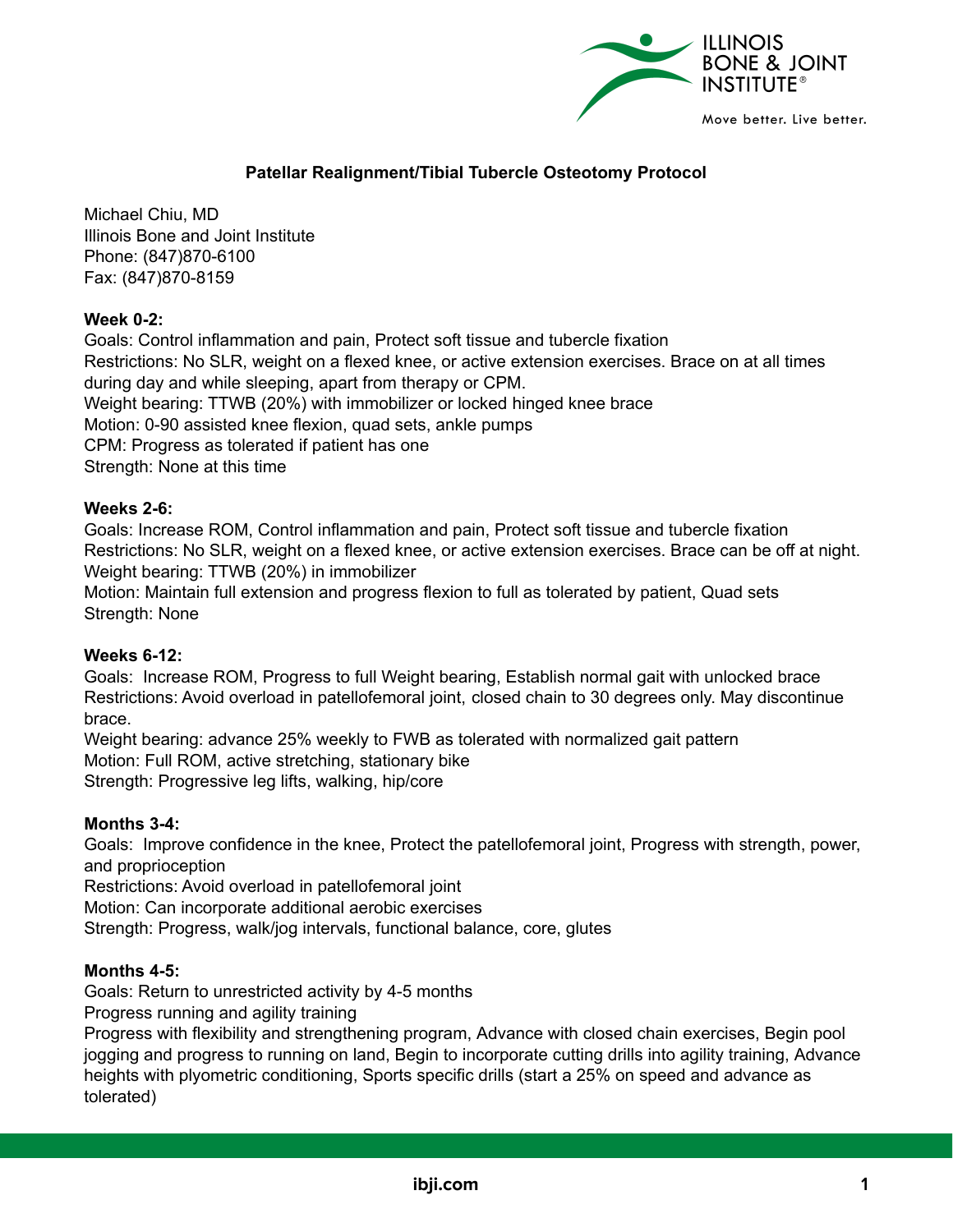

# **Patellar Realignment/Tibial Tubercle Osteotomy Protocol**

Michael Chiu, MD Illinois Bone and Joint Institute Phone: (847)870-6100 Fax: (847)870-8159

# **Week 0-2:**

Goals: Control inflammation and pain, Protect soft tissue and tubercle fixation Restrictions: No SLR, weight on a flexed knee, or active extension exercises. Brace on at all times during day and while sleeping, apart from therapy or CPM. Weight bearing: TTWB (20%) with immobilizer or locked hinged knee brace Motion: 0-90 assisted knee flexion, quad sets, ankle pumps CPM: Progress as tolerated if patient has one Strength: None at this time

## **Weeks 2-6:**

Goals: Increase ROM, Control inflammation and pain, Protect soft tissue and tubercle fixation Restrictions: No SLR, weight on a flexed knee, or active extension exercises. Brace can be off at night. Weight bearing: TTWB (20%) in immobilizer Motion: Maintain full extension and progress flexion to full as tolerated by patient, Quad sets

Strength: None

#### **Weeks 6-12:**

Goals: Increase ROM, Progress to full Weight bearing, Establish normal gait with unlocked brace Restrictions: Avoid overload in patellofemoral joint, closed chain to 30 degrees only. May discontinue brace.

Weight bearing: advance 25% weekly to FWB as tolerated with normalized gait pattern Motion: Full ROM, active stretching, stationary bike Strength: Progressive leg lifts, walking, hip/core

#### **Months 3-4:**

Goals: Improve confidence in the knee, Protect the patellofemoral joint, Progress with strength, power, and proprioception

Restrictions: Avoid overload in patellofemoral joint

Motion: Can incorporate additional aerobic exercises

Strength: Progress, walk/jog intervals, functional balance, core, glutes

#### **Months 4-5:**

Goals: Return to unrestricted activity by 4-5 months

Progress running and agility training

Progress with flexibility and strengthening program, Advance with closed chain exercises, Begin pool jogging and progress to running on land, Begin to incorporate cutting drills into agility training, Advance heights with plyometric conditioning, Sports specific drills (start a 25% on speed and advance as tolerated)